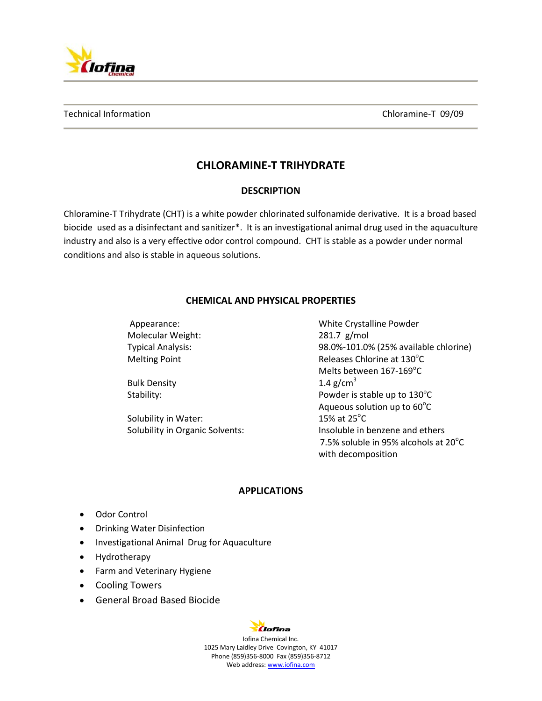

# **CHLORAMINE-T TRIHYDRATE**

## **DESCRIPTION**

Chloramine-T Trihydrate (CHT) is a white powder chlorinated sulfonamide derivative. It is a broad based biocide used as a disinfectant and sanitizer\*. It is an investigational animal drug used in the aquaculture industry and also is a very effective odor control compound. CHT is stable as a powder under normal conditions and also is stable in aqueous solutions.

## **CHEMICAL AND PHYSICAL PROPERTIES**

Appearance: White Crystalline Powder Molecular Weight: 281.7 g/mol Typical Analysis: 98.0%-101.0% (25% available chlorine) Melting Point **Melting Point** Connection Chlorine at 130<sup>°</sup>C Melts between 167-169°C Bulk Density  $1.4 \text{ g/cm}^3$ Stability: Stability:  $P$  owder is stable up to  $130^{\circ}$ C Aqueous solution up to  $60^{\circ}$ C Solubility in Water: 15% at  $25^{\circ}$ C Solubility in Organic Solvents: Insoluble in benzene and ethers 7.5% soluble in 95% alcohols at  $20^{\circ}$ C

#### **APPLICATIONS**

with decomposition

- Odor Control
- Drinking Water Disinfection
- Investigational Animal Drug for Aquaculture
- Hydrotherapy
- Farm and Veterinary Hygiene
- Cooling Towers
- General Broad Based Biocide

# Clofina

Iofina Chemical Inc. 1025 Mary Laidley Drive Covington, KY 41017 Phone (859)356-8000 Fax (859)356-8712 Web address: www.iofina.com